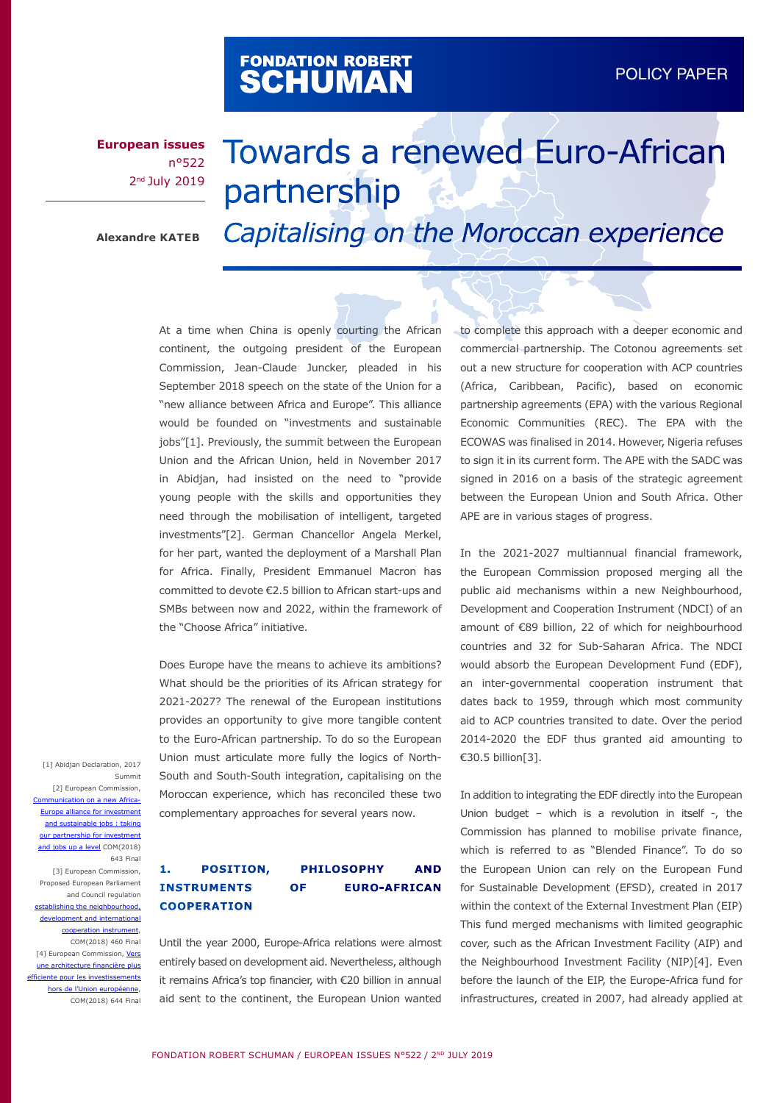# FONDATION ROBERT<br>**SCHUMAN**

**European issues** n°522 2<sup>nd</sup> July 2019

# Towards a renewed Euro-African partnership

**Alexandre KATEB** *Capitalising on the Moroccan experience* 

At a time when China is openly courting the African continent, the outgoing president of the European Commission, Jean-Claude Juncker, pleaded in his September 2018 speech on the state of the Union for a "new alliance between Africa and Europe". This alliance would be founded on "investments and sustainable jobs"[1]. Previously, the summit between the European Union and the African Union, held in November 2017 in Abidjan, had insisted on the need to "provide young people with the skills and opportunities they need through the mobilisation of intelligent, targeted investments"[2]. German Chancellor Angela Merkel, for her part, wanted the deployment of a Marshall Plan for Africa. Finally, President Emmanuel Macron has committed to devote €2.5 billion to African start-ups and SMBs between now and 2022, within the framework of the "Choose Africa" initiative.

Does Europe have the means to achieve its ambitions? What should be the priorities of its African strategy for 2021-2027? The renewal of the European institutions provides an opportunity to give more tangible content to the Euro-African partnership. To do so the European Union must articulate more fully the logics of North-South and South-South integration, capitalising on the Moroccan experience, which has reconciled these two complementary approaches for several years now.

[1] Abidian Declaration, 2017 Summit [2] European Commission, Communication on a new Africa-Europe alliance for investment and sustainable jobs : taking our partnership for investment and jobs up a level COM(2018) 643 Final [3] European Commission, Proposed European Parliament and Council regulation establishing the neighbourhood, development and international cooperation instrument, COM(2018) 460 Final [4] European Commission, [Vers](https://ec.europa.eu/transparency/regdoc/rep/1/2018/FR/COM-2018-644-F1-FR-MAIN-PART-1.PDF) [une architecture financière plus](https://ec.europa.eu/transparency/regdoc/rep/1/2018/FR/COM-2018-644-F1-FR-MAIN-PART-1.PDF) [efficiente pour les investissements](https://ec.europa.eu/transparency/regdoc/rep/1/2018/FR/COM-2018-644-F1-FR-MAIN-PART-1.PDF) [hors de l'Union européenne,](https://ec.europa.eu/transparency/regdoc/rep/1/2018/FR/COM-2018-644-F1-FR-MAIN-PART-1.PDF) COM(2018) 644 Final

# **1. POSITION, PHILOSOPHY AND INSTRUMENTS OF EURO-AFRICAN COOPERATION**

Until the year 2000, Europe-Africa relations were almost entirely based on development aid. Nevertheless, although it remains Africa's top financier, with €20 billion in annual aid sent to the continent, the European Union wanted

to complete this approach with a deeper economic and commercial partnership. The Cotonou agreements set out a new structure for cooperation with ACP countries (Africa, Caribbean, Pacific), based on economic partnership agreements (EPA) with the various Regional Economic Communities (REC). The EPA with the ECOWAS was finalised in 2014. However, Nigeria refuses to sign it in its current form. The APE with the SADC was signed in 2016 on a basis of the strategic agreement between the European Union and South Africa. Other APE are in various stages of progress.

In the 2021-2027 multiannual financial framework, the European Commission proposed merging all the public aid mechanisms within a new Neighbourhood, Development and Cooperation Instrument (NDCI) of an amount of €89 billion, 22 of which for neighbourhood countries and 32 for Sub-Saharan Africa. The NDCI would absorb the European Development Fund (EDF), an inter-governmental cooperation instrument that dates back to 1959, through which most community aid to ACP countries transited to date. Over the period 2014-2020 the EDF thus granted aid amounting to €30.5 billion[3].

In addition to integrating the EDF directly into the European Union budget – which is a revolution in itself -, the Commission has planned to mobilise private finance, which is referred to as "Blended Finance". To do so the European Union can rely on the European Fund for Sustainable Development (EFSD), created in 2017 within the context of the External Investment Plan (EIP) This fund merged mechanisms with limited geographic cover, such as the African Investment Facility (AIP) and the Neighbourhood Investment Facility (NIP)[4]. Even before the launch of the EIP, the Europe-Africa fund for infrastructures, created in 2007, had already applied at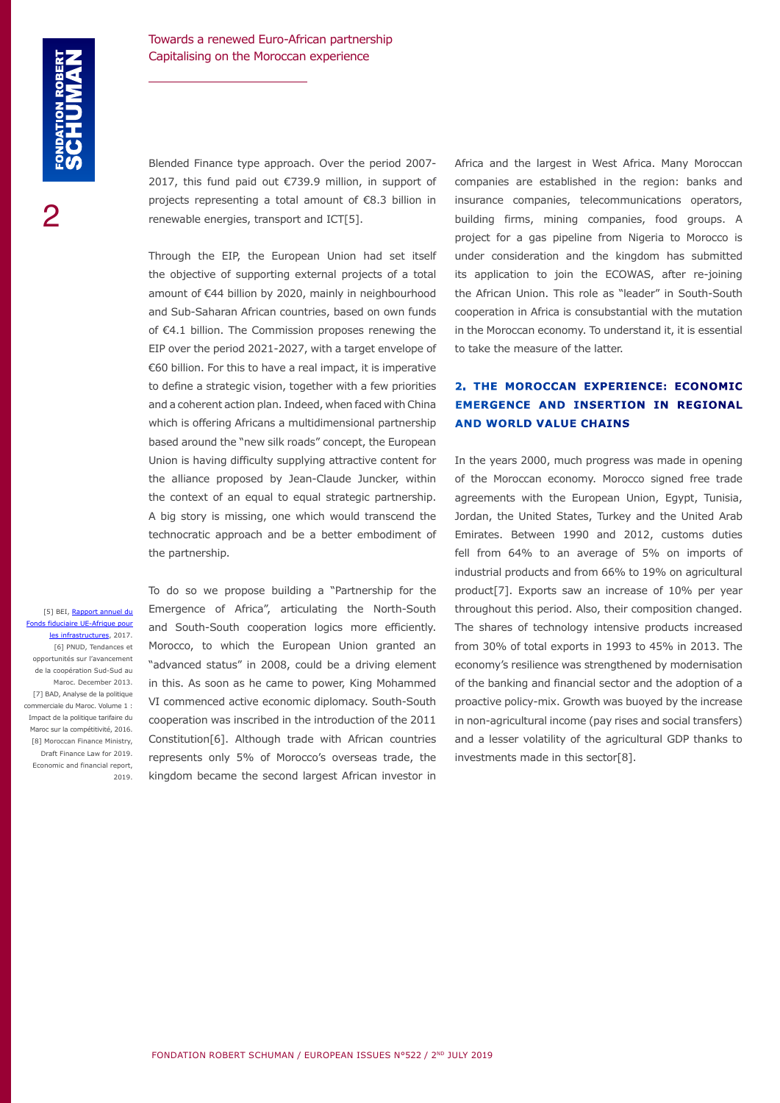Blended Finance type approach. Over the period 2007- 2017, this fund paid out €739.9 million, in support of projects representing a total amount of €8.3 billion in renewable energies, transport and ICT[5].

Through the EIP, the European Union had set itself the objective of supporting external projects of a total amount of €44 billion by 2020, mainly in neighbourhood and Sub-Saharan African countries, based on own funds of €4.1 billion. The Commission proposes renewing the EIP over the period 2021-2027, with a target envelope of €60 billion. For this to have a real impact, it is imperative to define a strategic vision, together with a few priorities and a coherent action plan. Indeed, when faced with China which is offering Africans a multidimensional partnership based around the "new silk roads" concept, the European Union is having difficulty supplying attractive content for the alliance proposed by Jean-Claude Juncker, within the context of an equal to equal strategic partnership. A big story is missing, one which would transcend the technocratic approach and be a better embodiment of the partnership.

[5] BEI, [Rapport annuel du](https://www.eib.org/attachments/country/eu_africa_infrastructure_trust_fund_2017_fr.pdf) ds fiduciaire UE-Afrique pour [les infrastructures](https://www.eib.org/attachments/country/eu_africa_infrastructure_trust_fund_2017_fr.pdf), 2017. [6] PNUD, Tendances et opportunités sur l'avancement de la coopération Sud-Sud au Maroc. December 2013. [7] BAD, Analyse de la politique commerciale du Maroc. Volume 1 : Impact de la politique tarifaire du Maroc sur la compétitivité, 2016. [8] Moroccan Finance Ministry, Draft Finance Law for 2019. Economic and financial report, 2019.

To do so we propose building a "Partnership for the Emergence of Africa", articulating the North-South and South-South cooperation logics more efficiently. Morocco, to which the European Union granted an "advanced status" in 2008, could be a driving element in this. As soon as he came to power, King Mohammed VI commenced active economic diplomacy. South-South cooperation was inscribed in the introduction of the 2011 Constitution[6]. Although trade with African countries represents only 5% of Morocco's overseas trade, the kingdom became the second largest African investor in

Africa and the largest in West Africa. Many Moroccan companies are established in the region: banks and insurance companies, telecommunications operators, building firms, mining companies, food groups. A project for a gas pipeline from Nigeria to Morocco is under consideration and the kingdom has submitted its application to join the ECOWAS, after re-joining the African Union. This role as "leader" in South-South cooperation in Africa is consubstantial with the mutation in the Moroccan economy. To understand it, it is essential to take the measure of the latter.

# **2. THE MOROCCAN EXPERIENCE: ECONOMIC EMERGENCE AND INSERTION IN REGIONAL AND WORLD VALUE CHAINS**

In the years 2000, much progress was made in opening of the Moroccan economy. Morocco signed free trade agreements with the European Union, Egypt, Tunisia, Jordan, the United States, Turkey and the United Arab Emirates. Between 1990 and 2012, customs duties fell from 64% to an average of 5% on imports of industrial products and from 66% to 19% on agricultural product[7]. Exports saw an increase of 10% per year throughout this period. Also, their composition changed. The shares of technology intensive products increased from 30% of total exports in 1993 to 45% in 2013. The economy's resilience was strengthened by modernisation of the banking and financial sector and the adoption of a proactive policy-mix. Growth was buoyed by the increase in non-agricultural income (pay rises and social transfers) and a lesser volatility of the agricultural GDP thanks to investments made in this sector[8].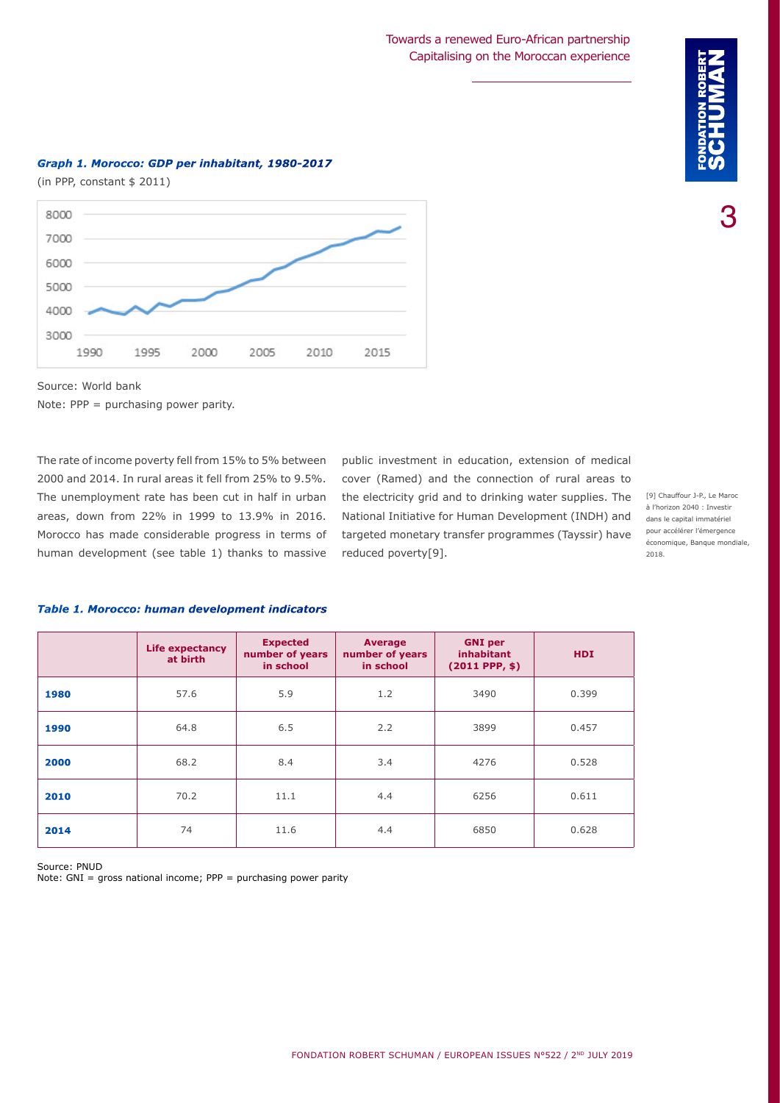### Towards a renewed Euro-African partnership Capitalising on the Moroccan experience



3

#### *Graph 1. Morocco: GDP per inhabitant, 1980-2017*

(in PPP, constant \$ 2011)



Source: World bank

Note: PPP = purchasing power parity.

The rate of income poverty fell from 15% to 5% between 2000 and 2014. In rural areas it fell from 25% to 9.5%. The unemployment rate has been cut in half in urban areas, down from 22% in 1999 to 13.9% in 2016. Morocco has made considerable progress in terms of human development (see table 1) thanks to massive

public investment in education, extension of medical cover (Ramed) and the connection of rural areas to the electricity grid and to drinking water supplies. The National Initiative for Human Development (INDH) and targeted monetary transfer programmes (Tayssir) have reduced poverty[9].

[9] Chauffour J-P., Le Maroc à l'horizon 2040 : Investir dans le capital immatériel pour accélérer l'émergence économique, Banque mondiale, 2018.

|      | <b>Life expectancy</b><br>at birth | <b>Expected</b><br>number of years<br>in school | Average<br>number of years<br>in school | <b>GNI</b> per<br><b>inhabitant</b><br>$(2011$ PPP, \$) | <b>HDI</b> |
|------|------------------------------------|-------------------------------------------------|-----------------------------------------|---------------------------------------------------------|------------|
| 1980 | 57.6                               | 5.9                                             | 1.2                                     | 3490                                                    | 0.399      |
| 1990 | 64.8                               | 6.5                                             | 2.2                                     | 3899                                                    | 0.457      |
| 2000 | 68.2                               | 8.4                                             | 3.4                                     | 4276                                                    | 0.528      |
| 2010 | 70.2                               | 11.1                                            | 4.4                                     | 6256                                                    | 0.611      |
| 2014 | 74                                 | 11.6                                            | 4.4                                     | 6850                                                    | 0.628      |

#### *Table 1. Morocco: human development indicators*

Source: PNUD Note: GNI = gross national income; PPP = purchasing power parity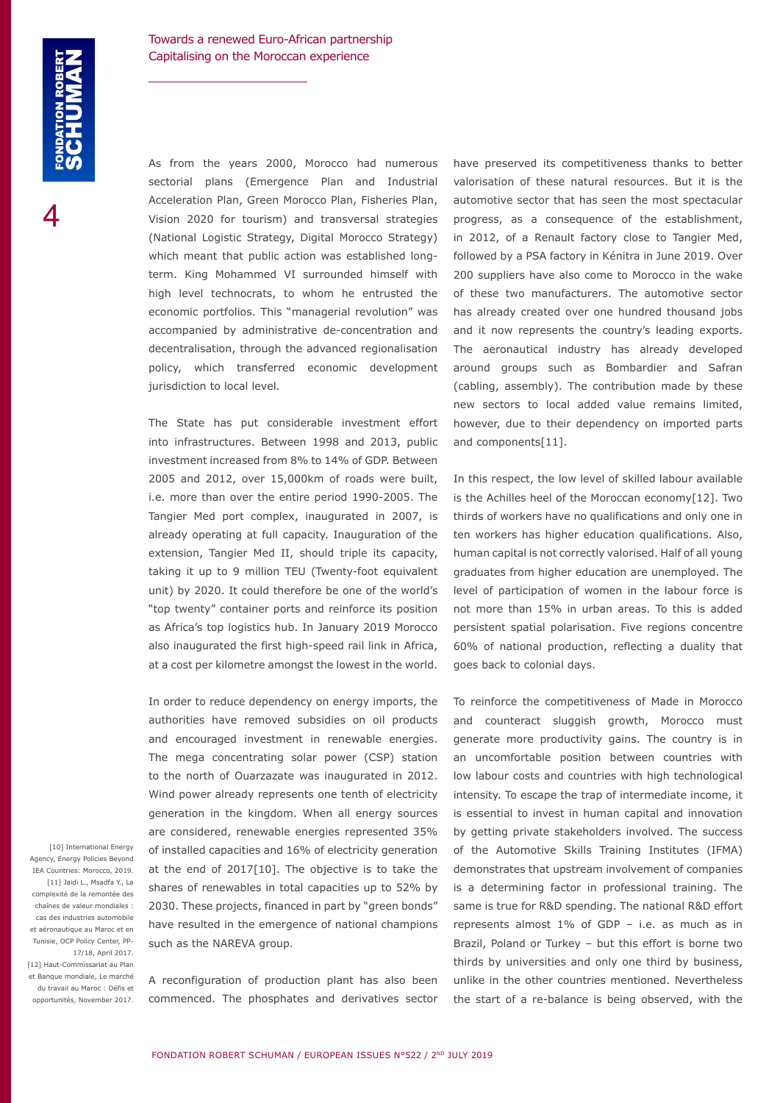As from the years 2000, Morocco had numerous sectorial plans (Emergence Plan and Industrial Acceleration Plan, Green Morocco Plan, Fisheries Plan, Vision 2020 for tourism) and transversal strategies (National Logistic Strategy, Digital Morocco Strategy) which meant that public action was established longterm. King Mohammed VI surrounded himself with high level technocrats, to whom he entrusted the economic portfolios. This "managerial revolution" was accompanied by administrative de-concentration and decentralisation, through the advanced regionalisation policy, which transferred economic development jurisdiction to local level.

The State has put considerable investment effort into infrastructures. Between 1998 and 2013, public investment increased from 8% to 14% of GDP. Between 2005 and 2012, over 15,000km of roads were built, i.e. more than over the entire period 1990-2005. The Tangier Med port complex, inaugurated in 2007, is already operating at full capacity. Inauguration of the extension, Tangier Med II, should triple its capacity, taking it up to 9 million TEU (Twenty-foot equivalent unit) by 2020. It could therefore be one of the world's "top twenty" container ports and reinforce its position as Africa's top logistics hub. In January 2019 Morocco also inaugurated the first high-speed rail link in Africa, at a cost per kilometre amongst the lowest in the world.

In order to reduce dependency on energy imports, the authorities have removed subsidies on oil products and encouraged investment in renewable energies. The mega concentrating solar power (CSP) station to the north of Ouarzazate was inaugurated in 2012. Wind power already represents one tenth of electricity generation in the kingdom. When all energy sources are considered, renewable energies represented 35% of installed capacities and 16% of electricity generation at the end of 2017[10]. The objective is to take the shares of renewables in total capacities up to 52% by 2030. These projects, financed in part by "green bonds" have resulted in the emergence of national champions such as the NAREVA group.

[10] International Energy Agency, Energy Policies Beyond IEA Countries: Morocco, 2019. [11] Jaidi L., Msadfa Y., La complexité de la remontée des chaînes de valeur mondiales : cas des industries automobile et aéronautique au Maroc et en Tunisie, OCP Policy Center, PP-17/18, April 2017. [12] Haut-Commissariat au Plan et Banque mondiale, Le marché du travail au Maroc : Défis et opportunités, November 2017.

A reconfiguration of production plant has also been commenced. The phosphates and derivatives sector have preserved its competitiveness thanks to better valorisation of these natural resources. But it is the automotive sector that has seen the most spectacular progress, as a consequence of the establishment, in 2012, of a Renault factory close to Tangier Med, followed by a PSA factory in Kénitra in June 2019. Over 200 suppliers have also come to Morocco in the wake of these two manufacturers. The automotive sector has already created over one hundred thousand jobs and it now represents the country's leading exports. The aeronautical industry has already developed around groups such as Bombardier and Safran (cabling, assembly). The contribution made by these new sectors to local added value remains limited, however, due to their dependency on imported parts and components[11].

In this respect, the low level of skilled labour available is the Achilles heel of the Moroccan economy[12]. Two thirds of workers have no qualifications and only one in ten workers has higher education qualifications. Also, human capital is not correctly valorised. Half of all young graduates from higher education are unemployed. The level of participation of women in the labour force is not more than 15% in urban areas. To this is added persistent spatial polarisation. Five regions concentre 60% of national production, reflecting a duality that goes back to colonial days.

To reinforce the competitiveness of Made in Morocco and counteract sluggish growth, Morocco must generate more productivity gains. The country is in an uncomfortable position between countries with low labour costs and countries with high technological intensity. To escape the trap of intermediate income, it is essential to invest in human capital and innovation by getting private stakeholders involved. The success of the Automotive Skills Training Institutes (IFMA) demonstrates that upstream involvement of companies is a determining factor in professional training. The same is true for R&D spending. The national R&D effort represents almost 1% of GDP – i.e. as much as in Brazil, Poland or Turkey – but this effort is borne two thirds by universities and only one third by business, unlike in the other countries mentioned. Nevertheless the start of a re-balance is being observed, with the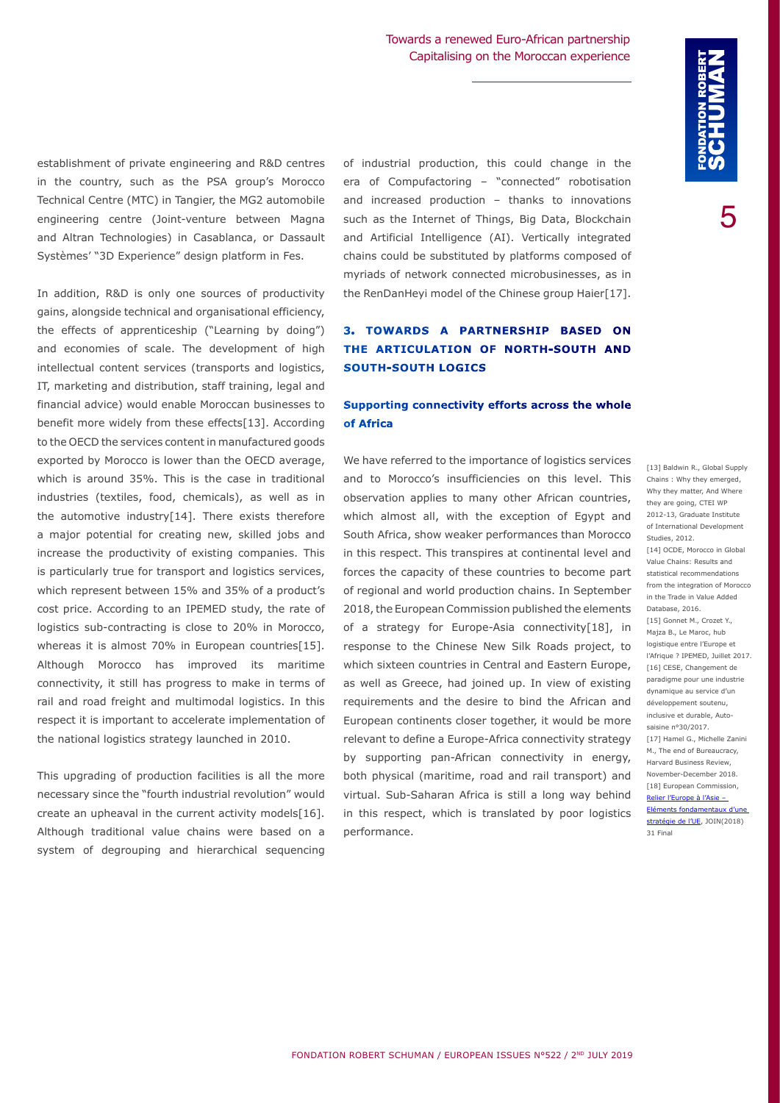Towards a renewed Euro-African partnership Capitalising on the Moroccan experience

5

establishment of private engineering and R&D centres in the country, such as the PSA group's Morocco Technical Centre (MTC) in Tangier, the MG2 automobile engineering centre (Joint-venture between Magna and Altran Technologies) in Casablanca, or Dassault Systèmes' "3D Experience" design platform in Fes.

In addition, R&D is only one sources of productivity gains, alongside technical and organisational efficiency, the effects of apprenticeship ("Learning by doing") and economies of scale. The development of high intellectual content services (transports and logistics, IT, marketing and distribution, staff training, legal and financial advice) would enable Moroccan businesses to benefit more widely from these effects[13]. According to the OECD the services content in manufactured goods exported by Morocco is lower than the OECD average, which is around 35%. This is the case in traditional industries (textiles, food, chemicals), as well as in the automotive industry[14]. There exists therefore a major potential for creating new, skilled jobs and increase the productivity of existing companies. This is particularly true for transport and logistics services, which represent between 15% and 35% of a product's cost price. According to an IPEMED study, the rate of logistics sub-contracting is close to 20% in Morocco, whereas it is almost 70% in European countries[15]. Although Morocco has improved its maritime connectivity, it still has progress to make in terms of rail and road freight and multimodal logistics. In this respect it is important to accelerate implementation of the national logistics strategy launched in 2010.

This upgrading of production facilities is all the more necessary since the "fourth industrial revolution" would create an upheaval in the current activity models[16]. Although traditional value chains were based on a system of degrouping and hierarchical sequencing of industrial production, this could change in the era of Compufactoring – "connected" robotisation and increased production – thanks to innovations such as the Internet of Things, Big Data, Blockchain and Artificial Intelligence (AI). Vertically integrated chains could be substituted by platforms composed of myriads of network connected microbusinesses, as in the RenDanHeyi model of the Chinese group Haier[17].

### **3. TOWARDS A PARTNERSHIP BASED ON THE ARTICULATION OF NORTH-SOUTH AND SOUTH-SOUTH LOGICS**

#### **Supporting connectivity efforts across the whole of Africa**

We have referred to the importance of logistics services and to Morocco's insufficiencies on this level. This observation applies to many other African countries, which almost all, with the exception of Egypt and South Africa, show weaker performances than Morocco in this respect. This transpires at continental level and forces the capacity of these countries to become part of regional and world production chains. In September 2018, the European Commission published the elements of a strategy for Europe-Asia connectivity[18], in response to the Chinese New Silk Roads project, to which sixteen countries in Central and Eastern Europe, as well as Greece, had joined up. In view of existing requirements and the desire to bind the African and European continents closer together, it would be more relevant to define a Europe-Africa connectivity strategy by supporting pan-African connectivity in energy, both physical (maritime, road and rail transport) and virtual. Sub-Saharan Africa is still a long way behind in this respect, which is translated by poor logistics performance.

[13] Baldwin R., Global Supply Chains : Why they emerged, Why they matter, And Where they are going, CTEI WP 2012-13, Graduate Institute of International Development Studies, 2012. [14] OCDE, Morocco in Global Value Chains: Results and statistical recommendations from the integration of Morocco in the Trade in Value Added Database, 2016. [15] Gonnet M., Crozet Y., Majza B., Le Maroc, hub logistique entre l'Europe et l'Afrique ? IPEMED, Juillet 2017. [16] CESE, Changement de paradigme pour une industrie dynamique au service d'un développement soutenu, inclusive et durable, Autosaisine n°30/2017. [17] Hamel G., Michelle Zanini M., The end of Bureaucracy, Harvard Business Review, November-December 2018. [18] European Commission, [Relier l'Europe à l'Asie –](http://www.ipex.eu/IPEXL-WEB/dossier/document/JOIN20180031.do)  [Eléments fondamentaux d'une](http://www.ipex.eu/IPEXL-WEB/dossier/document/JOIN20180031.do)  [stratégie de l'UE,](http://www.ipex.eu/IPEXL-WEB/dossier/document/JOIN20180031.do) JOIN(2018) 31 Final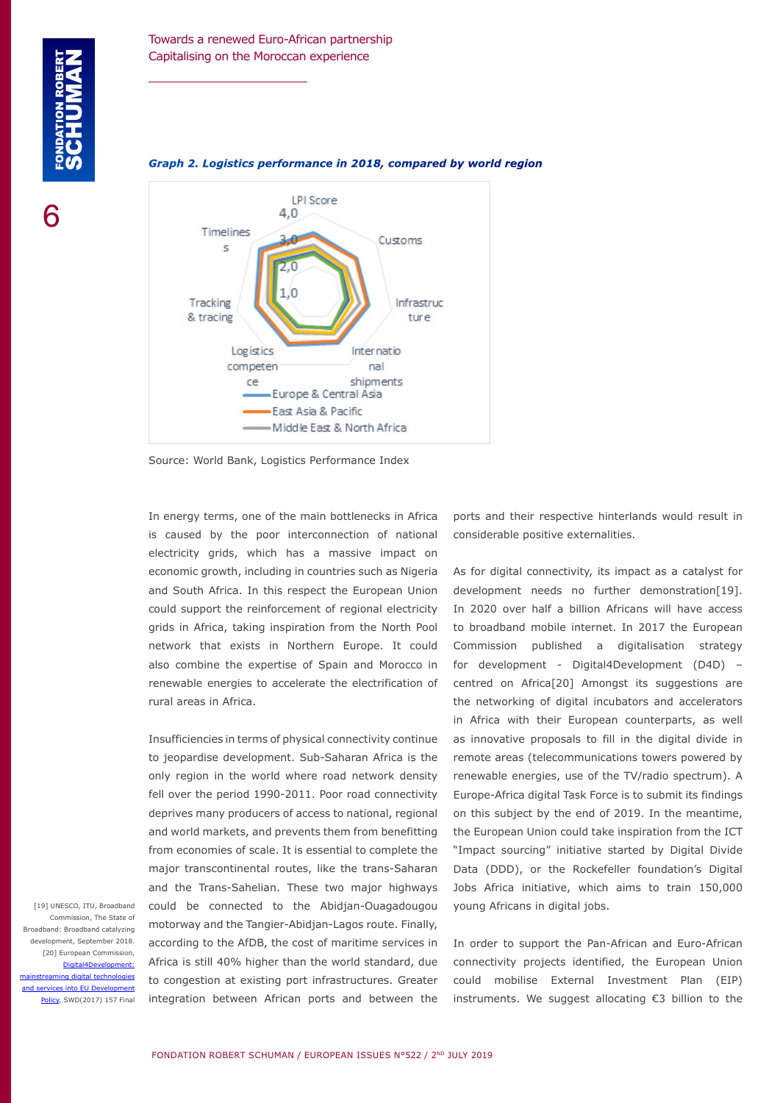

#### *Graph 2. Logistics performance in 2018, compared by world region*

Source: World Bank, Logistics Performance Index

In energy terms, one of the main bottlenecks in Africa is caused by the poor interconnection of national electricity grids, which has a massive impact on economic growth, including in countries such as Nigeria and South Africa. In this respect the European Union could support the reinforcement of regional electricity grids in Africa, taking inspiration from the North Pool network that exists in Northern Europe. It could also combine the expertise of Spain and Morocco in renewable energies to accelerate the electrification of rural areas in Africa.

Insufficiencies in terms of physical connectivity continue to jeopardise development. Sub-Saharan Africa is the only region in the world where road network density fell over the period 1990-2011. Poor road connectivity deprives many producers of access to national, regional and world markets, and prevents them from benefitting from economies of scale. It is essential to complete the major transcontinental routes, like the trans-Saharan and the Trans-Sahelian. These two major highways could be connected to the Abidjan-Ouagadougou motorway and the Tangier-Abidjan-Lagos route. Finally, according to the AfDB, the cost of maritime services in Africa is still 40% higher than the world standard, due to congestion at existing port infrastructures. Greater integration between African ports and between the

ports and their respective hinterlands would result in considerable positive externalities.

As for digital connectivity, its impact as a catalyst for development needs no further demonstration[19]. In 2020 over half a billion Africans will have access to broadband mobile internet. In 2017 the European Commission published a digitalisation strategy for development - Digital4Development (D4D) – centred on Africa[20] Amongst its suggestions are the networking of digital incubators and accelerators in Africa with their European counterparts, as well as innovative proposals to fill in the digital divide in remote areas (telecommunications towers powered by renewable energies, use of the TV/radio spectrum). A Europe-Africa digital Task Force is to submit its findings on this subject by the end of 2019. In the meantime, the European Union could take inspiration from the ICT "Impact sourcing" initiative started by Digital Divide Data (DDD), or the Rockefeller foundation's Digital Jobs Africa initiative, which aims to train 150,000 young Africans in digital jobs.

In order to support the Pan-African and Euro-African connectivity projects identified, the European Union could mobilise External Investment Plan (EIP) instruments. We suggest allocating €3 billion to the

[19] UNESCO, ITU, Broadband Commission, The State of Broadband: Broadband catalyzing evelopment, September 2018. [20] European Commission, [Digital4Development:](https://ec.europa.eu/transparency/regdoc/rep/10102/2017/EN/SWD-2017-157-F1-EN-MAIN-PART-1.PDF)  ing digital technologies services into EU Development [Policy](https://ec.europa.eu/transparency/regdoc/rep/10102/2017/EN/SWD-2017-157-F1-EN-MAIN-PART-1.PDF), SWD(2017) 157 Final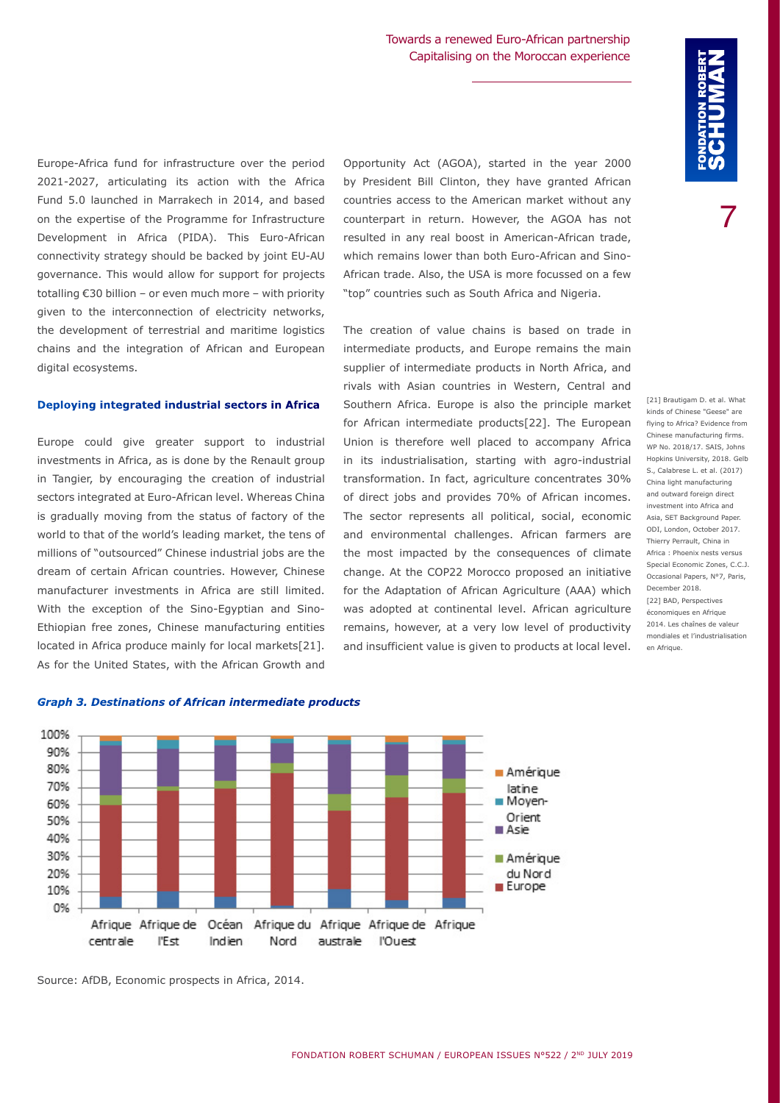Europe-Africa fund for infrastructure over the period 2021-2027, articulating its action with the Africa Fund 5.0 launched in Marrakech in 2014, and based on the expertise of the Programme for Infrastructure Development in Africa (PIDA). This Euro-African connectivity strategy should be backed by joint EU-AU governance. This would allow for support for projects totalling €30 billion – or even much more – with priority given to the interconnection of electricity networks, the development of terrestrial and maritime logistics chains and the integration of African and European digital ecosystems.

#### **Deploying integrated industrial sectors in Africa**

Europe could give greater support to industrial investments in Africa, as is done by the Renault group in Tangier, by encouraging the creation of industrial sectors integrated at Euro-African level. Whereas China is gradually moving from the status of factory of the world to that of the world's leading market, the tens of millions of "outsourced" Chinese industrial jobs are the dream of certain African countries. However, Chinese manufacturer investments in Africa are still limited. With the exception of the Sino-Egyptian and Sino-Ethiopian free zones, Chinese manufacturing entities located in Africa produce mainly for local markets[21]. As for the United States, with the African Growth and Opportunity Act (AGOA), started in the year 2000 by President Bill Clinton, they have granted African countries access to the American market without any counterpart in return. However, the AGOA has not resulted in any real boost in American-African trade, which remains lower than both Euro-African and Sino-African trade. Also, the USA is more focussed on a few "top" countries such as South Africa and Nigeria.

The creation of value chains is based on trade in intermediate products, and Europe remains the main supplier of intermediate products in North Africa, and rivals with Asian countries in Western, Central and Southern Africa. Europe is also the principle market for African intermediate products[22]. The European Union is therefore well placed to accompany Africa in its industrialisation, starting with agro-industrial transformation. In fact, agriculture concentrates 30% of direct jobs and provides 70% of African incomes. The sector represents all political, social, economic and environmental challenges. African farmers are the most impacted by the consequences of climate change. At the COP22 Morocco proposed an initiative for the Adaptation of African Agriculture (AAA) which was adopted at continental level. African agriculture remains, however, at a very low level of productivity and insufficient value is given to products at local level.

[21] Brautigam D. et al. What kinds of Chinese "Geese" are flying to Africa? Evidence from Chinese manufacturing firms. WP No. 2018/17. SAIS, Johns Hopkins University, 2018. Gelb S., Calabrese L. et al. (2017) China light manufacturing and outward foreign direct investment into Africa and Asia, SET Background Paper. ODI, London, October 2017. Thierry Perrault, China in Africa : Phoenix nests versus Special Economic Zones, C.C.J. Occasional Papers, N°7, Paris, December 2018. [22] BAD, Perspectives économiques en Afrique 2014. Les chaînes de valeur mondiales et l'industrialisation

en Afrique.

100% 90% 80% **Amérique** 70% latine Moyen-60% Orient 50% ■ Asie 40% 30% Amérique 20% du Nord **Europe** 10% 0% Afrique Afrique de Océan Afrique du Afrique Afrique de Afrique

Nord

australe l'Ouest

#### *Graph 3. Destinations of African intermediate products*

l'Est

centrale

Indien

Source: AfDB, Economic prospects in Africa, 2014.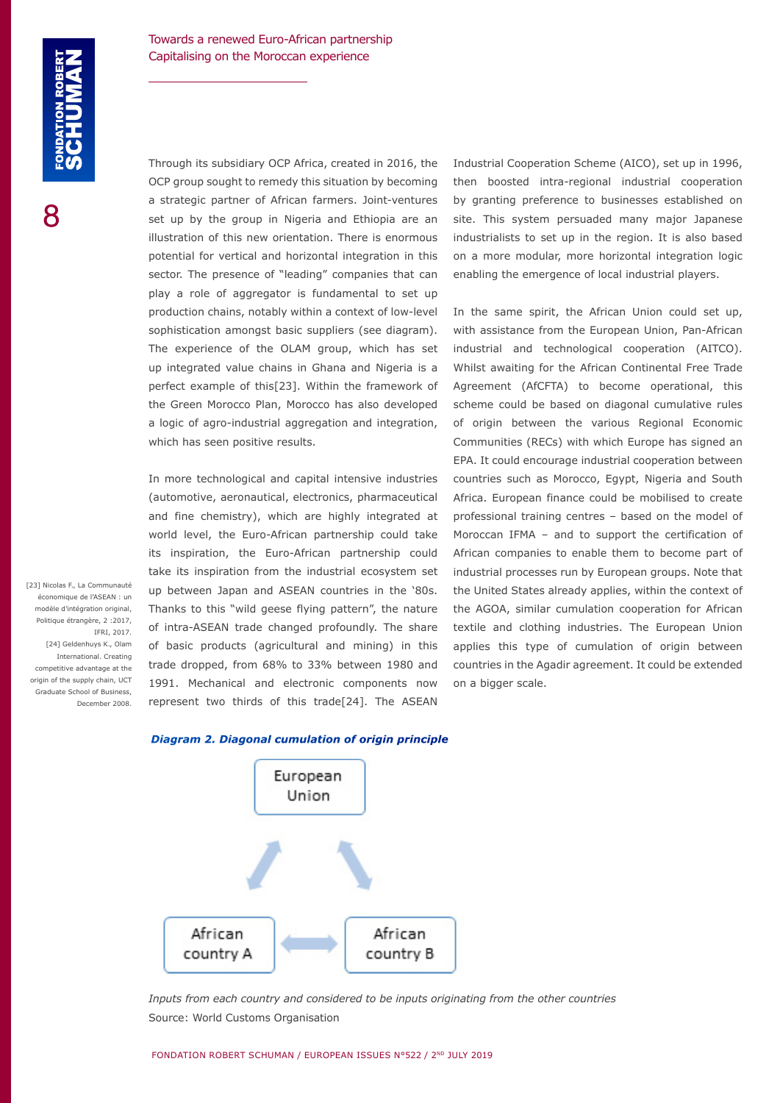Through its subsidiary OCP Africa, created in 2016, the OCP group sought to remedy this situation by becoming a strategic partner of African farmers. Joint-ventures set up by the group in Nigeria and Ethiopia are an illustration of this new orientation. There is enormous potential for vertical and horizontal integration in this sector. The presence of "leading" companies that can play a role of aggregator is fundamental to set up production chains, notably within a context of low-level sophistication amongst basic suppliers (see diagram). The experience of the OLAM group, which has set up integrated value chains in Ghana and Nigeria is a perfect example of this[23]. Within the framework of the Green Morocco Plan, Morocco has also developed a logic of agro-industrial aggregation and integration, which has seen positive results.

In more technological and capital intensive industries (automotive, aeronautical, electronics, pharmaceutical and fine chemistry), which are highly integrated at world level, the Euro-African partnership could take its inspiration, the Euro-African partnership could take its inspiration from the industrial ecosystem set up between Japan and ASEAN countries in the '80s. Thanks to this "wild geese flying pattern", the nature of intra-ASEAN trade changed profoundly. The share of basic products (agricultural and mining) in this trade dropped, from 68% to 33% between 1980 and 1991. Mechanical and electronic components now represent two thirds of this trade[24]. The ASEAN Industrial Cooperation Scheme (AICO), set up in 1996, then boosted intra-regional industrial cooperation by granting preference to businesses established on site. This system persuaded many major Japanese industrialists to set up in the region. It is also based on a more modular, more horizontal integration logic enabling the emergence of local industrial players.

In the same spirit, the African Union could set up, with assistance from the European Union, Pan-African industrial and technological cooperation (AITCO). Whilst awaiting for the African Continental Free Trade Agreement (AfCFTA) to become operational, this scheme could be based on diagonal cumulative rules of origin between the various Regional Economic Communities (RECs) with which Europe has signed an EPA. It could encourage industrial cooperation between countries such as Morocco, Egypt, Nigeria and South Africa. European finance could be mobilised to create professional training centres – based on the model of Moroccan IFMA – and to support the certification of African companies to enable them to become part of industrial processes run by European groups. Note that the United States already applies, within the context of the AGOA, similar cumulation cooperation for African textile and clothing industries. The European Union applies this type of cumulation of origin between countries in the Agadir agreement. It could be extended on a bigger scale.

Politique étrangère, 2 :2017, IFRI, 2017. [24] Geldenhuys K., Olam International. Creating competitive advantage at the origin of the supply chain, UCT Graduate School of Business, December 2008.

[23] Nicolas F., La Communauté économique de l'ASEAN : un modèle d'intégration original,





*Inputs from each country and considered to be inputs originating from the other countries*  Source: World Customs Organisation